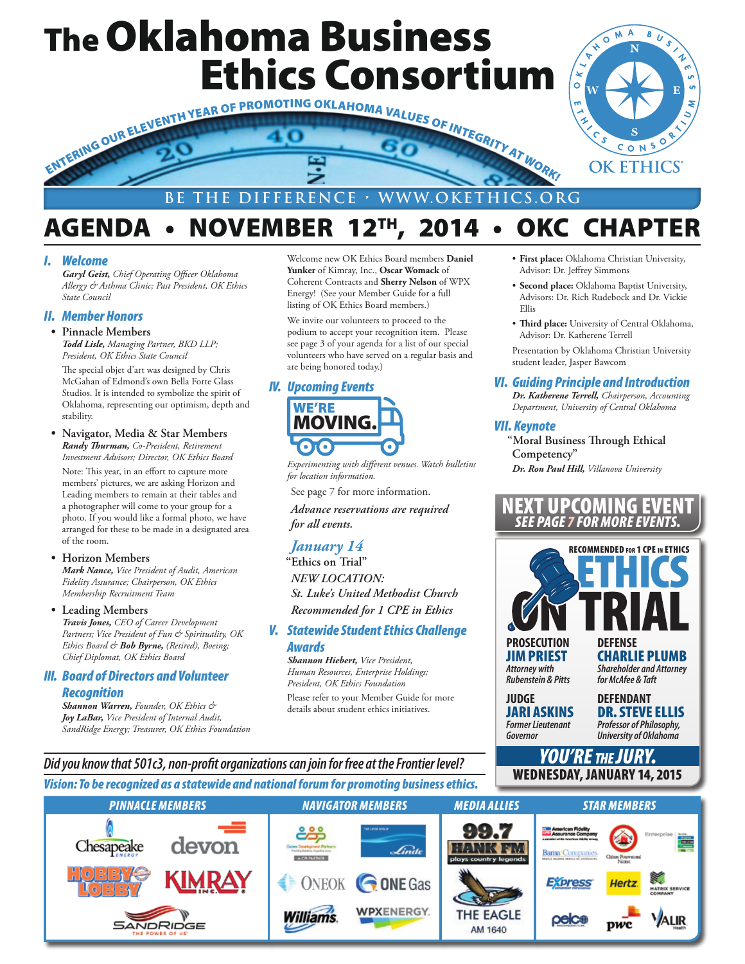## The Oklahoma Business Ethics Consortium



### AGENDA • NOVEMBER 12TH, 2014 • OKC CHAPTER

#### *I. Welcome*

*Garyl Geist, Chief Operating Officer Oklahoma Allergy & Asthma Clinic; Past President, OK Ethics State Council*

#### *II. Member Honors*

**• Pinnacle Members**

*Todd Lisle, Managing Partner, BKD LLP; President, OK Ethics State Council*

The special objet d'art was designed by Chris McGahan of Edmond's own Bella Forte Glass Studios. It is intended to symbolize the spirit of Oklahoma, representing our optimism, depth and stability.

**• Navigator, Media & Star Members** *Randy Thurman, Co-President, Retirement Investment Advisors; Director, OK Ethics Board*

Note: This year, in an effort to capture more members' pictures, we are asking Horizon and Leading members to remain at their tables and a photographer will come to your group for a photo. If you would like a formal photo, we have arranged for these to be made in a designated area of the room.

#### **• Horizon Members**

*Mark Nance, Vice President of Audit, American Fidelity Assurance; Chairperson, OK Ethics Membership Recruitment Team*

**• Leading Members** *Travis Jones, CEO of Career Development Partners; Vice President of Fun & Spirituality, OK Ethics Board & Bob Byrne, (Retired), Boeing; Chief Diplomat, OK Ethics Board*

#### *III. Board of Directors and Volunteer Recognition*

*Shannon Warren, Founder, OK Ethics & Joy LaBar, Vice President of Internal Audit, SandRidge Energy; Treasurer, OK Ethics Foundation* Welcome new OK Ethics Board members **Daniel Yunker** of Kimray, Inc., **Oscar Womack** of Coherent Contracts and **Sherry Nelson** of WPX Energy! (See your Member Guide for a full listing of OK Ethics Board members.)

We invite our volunteers to proceed to the podium to accept your recognition item. Please see page 3 of your agenda for a list of our special volunteers who have served on a regular basis and are being honored today.)

#### *IV. Upcoming Events*



*Experimenting with different venues. Watch bulletins for location information.*

See page 7 for more information.

*Advance reservations are required for all events.*

#### *January 14*

**"Ethics on Trial"** *NEW LOCATION: St. Luke's United Methodist Church Recommended for 1 CPE in Ethics*

#### *V. Statewide Student Ethics Challenge Awards*

*Shannon Hiebert, Vice President, Human Resources, Enterprise Holdings; President, OK Ethics Foundation*

Please refer to your Member Guide for more details about student ethics initiatives.

• **First place:** Oklahoma Christian University, Advisor: Dr. Jeffrey Simmons

OMA

 $\hat{\gamma}$ ۴  $\sqrt{\frac{2}{2}}$ 

B U S

r

- **Second place:** Oklahoma Baptist University, Advisors: Dr. Rich Rudebock and Dr. Vickie Ellis
- **Third place:** University of Central Oklahoma, Advisor: Dr. Katherene Terrell

Presentation by Oklahoma Christian University student leader, Jasper Bawcom

#### *VI. Guiding Principle and Introduction*

*Dr. Katherene Terrell, Chairperson, Accounting Department, University of Central Oklahoma*

#### *VII. Keynote*

**"Moral Business Through Ethical Competency"** *Dr. Ron Paul Hill, Villanova University*

#### NEXT UPCOMING EVENT **FOR MORF**



*YOU'RE the JURY.* WEDNESDAY, JANUARY 14, 2015

**JIM PRIEST CHARLIE PLUMB**<br>Attorney with Shareholder and Attorney *Attorney with Shareholder and Attorney Rubenstein & Pitts for McAfee & Taft*

**JUDGE DEFENDANT**

**JARI ASKINS DR. STEVE ELLIS**<br>Former Lieutenant *Professor of Philosophy. Former Lieutenant Professor of Philosophy, University of Oklahoma* 

#### *Vision: To be recognized as a statewide and national forum for promoting business ethics. Did you know that 501c3, non-profit organizations can join for free at the Frontier level?*

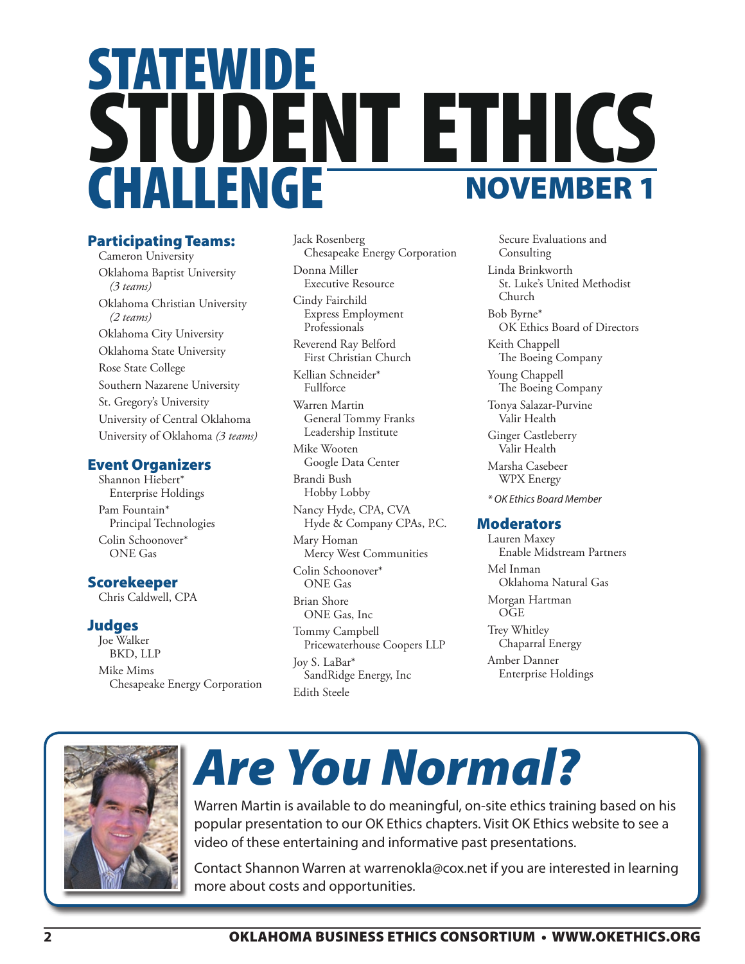## STATEWIDE STUDENT ETHICS CHALLENGE NOVEMBER 1

#### Participating Teams:

Cameron University Oklahoma Baptist University *(3 teams)* Oklahoma Christian University *(2 teams)* Oklahoma City University Oklahoma State University Rose State College Southern Nazarene University St. Gregory's University University of Central Oklahoma University of Oklahoma *(3 teams)*

#### Event Organizers

Shannon Hiebert\* Enterprise Holdings Pam Fountain\* Principal Technologies Colin Schoonover\* ONE Gas

#### Scorekeeper

Chris Caldwell, CPA

#### Judges

Joe Walker BKD, LLP Mike Mims Chesapeake Energy Corporation Jack Rosenberg Chesapeake Energy Corporation Donna Miller Executive Resource Cindy Fairchild Express Employment Professionals

Reverend Ray Belford First Christian Church

Kellian Schneider\* Fullforce

Warren Martin General Tommy Franks Leadership Institute

Mike Wooten Google Data Center Brandi Bush Hobby Lobby

Nancy Hyde, CPA, CVA Hyde & Company CPAs, P.C.

Mary Homan Mercy West Communities

Colin Schoonover\* ONE Gas

Brian Shore ONE Gas, Inc

Tommy Campbell Pricewaterhouse Coopers LLP Joy S. LaBar\* SandRidge Energy, Inc Edith Steele

Secure Evaluations and Consulting

Linda Brinkworth St. Luke's United Methodist Church

Bob Byrne\* OK Ethics Board of Directors

Keith Chappell The Boeing Company

Young Chappell The Boeing Company

Tonya Salazar-Purvine Valir Health Ginger Castleberry

Valir Health

Marsha Casebeer WPX Energy

*\* OK Ethics Board Member*

#### **Moderators**

Lauren Maxey Enable Midstream Partners Mel Inman Oklahoma Natural Gas Morgan Hartman OGE Trey Whitley Chaparral Energy Amber Danner Enterprise Holdings



## *Are You Normal?*

Warren Martin is available to do meaningful, on-site ethics training based on his popular presentation to our OK Ethics chapters. Visit OK Ethics website to see a video of these entertaining and informative past presentations.

Contact Shannon Warren at warrenokla@cox.net if you are interested in learning more about costs and opportunities.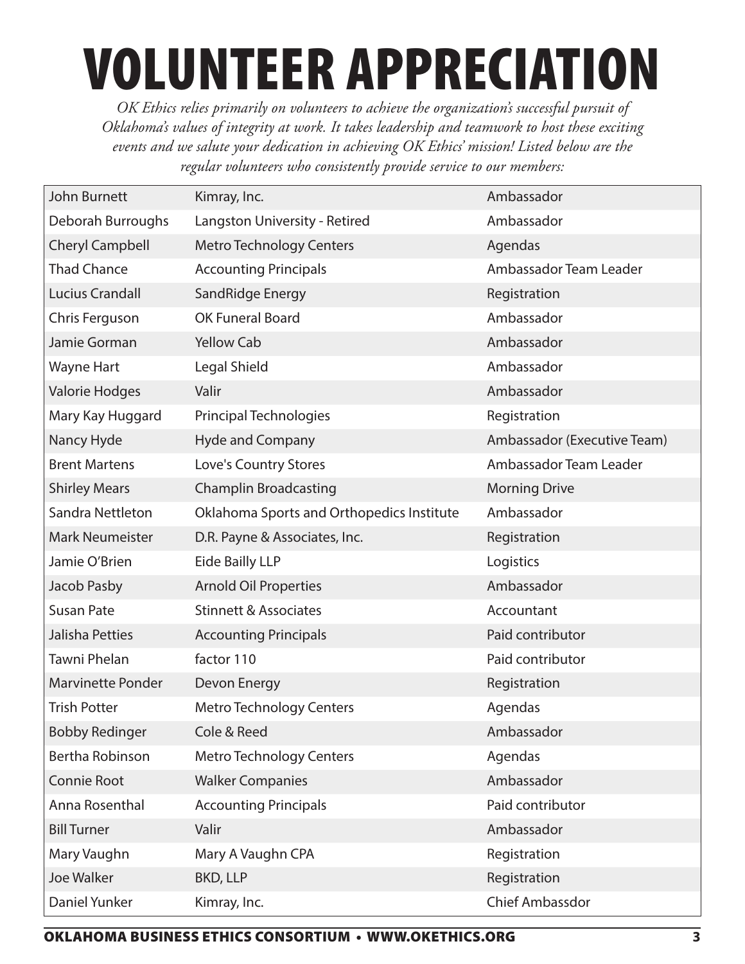# VOLUNTEER APPRECIATION

*OK Ethics relies primarily on volunteers to achieve the organization's successful pursuit of Oklahoma's values of integrity at work. It takes leadership and teamwork to host these exciting events and we salute your dedication in achieving OK Ethics' mission! Listed below are the regular volunteers who consistently provide service to our members:*

| John Burnett             | Kimray, Inc.                              | Ambassador                  |
|--------------------------|-------------------------------------------|-----------------------------|
| Deborah Burroughs        | Langston University - Retired             | Ambassador                  |
| <b>Cheryl Campbell</b>   | <b>Metro Technology Centers</b>           | Agendas                     |
| <b>Thad Chance</b>       | <b>Accounting Principals</b>              | Ambassador Team Leader      |
| <b>Lucius Crandall</b>   | SandRidge Energy                          | Registration                |
| Chris Ferguson           | OK Funeral Board                          | Ambassador                  |
| Jamie Gorman             | <b>Yellow Cab</b>                         | Ambassador                  |
| Wayne Hart               | Legal Shield                              | Ambassador                  |
| Valorie Hodges           | Valir                                     | Ambassador                  |
| Mary Kay Huggard         | <b>Principal Technologies</b>             | Registration                |
| Nancy Hyde               | <b>Hyde and Company</b>                   | Ambassador (Executive Team) |
| <b>Brent Martens</b>     | Love's Country Stores                     | Ambassador Team Leader      |
| <b>Shirley Mears</b>     | <b>Champlin Broadcasting</b>              | <b>Morning Drive</b>        |
| Sandra Nettleton         | Oklahoma Sports and Orthopedics Institute | Ambassador                  |
| <b>Mark Neumeister</b>   | D.R. Payne & Associates, Inc.             | Registration                |
| Jamie O'Brien            | <b>Eide Bailly LLP</b>                    | Logistics                   |
| Jacob Pasby              | <b>Arnold Oil Properties</b>              | Ambassador                  |
| <b>Susan Pate</b>        | <b>Stinnett &amp; Associates</b>          | Accountant                  |
| Jalisha Petties          | <b>Accounting Principals</b>              | Paid contributor            |
| Tawni Phelan             | factor 110                                | Paid contributor            |
| <b>Marvinette Ponder</b> | Devon Energy                              | Registration                |
| <b>Trish Potter</b>      | <b>Metro Technology Centers</b>           | Agendas                     |
| <b>Bobby Redinger</b>    | Cole & Reed                               | Ambassador                  |
| Bertha Robinson          | <b>Metro Technology Centers</b>           | Agendas                     |
| Connie Root              | <b>Walker Companies</b>                   | Ambassador                  |
| Anna Rosenthal           | <b>Accounting Principals</b>              | Paid contributor            |
| <b>Bill Turner</b>       | Valir                                     | Ambassador                  |
| Mary Vaughn              | Mary A Vaughn CPA                         | Registration                |
| Joe Walker               | <b>BKD, LLP</b>                           | Registration                |
| Daniel Yunker            | Kimray, Inc.                              | <b>Chief Ambassdor</b>      |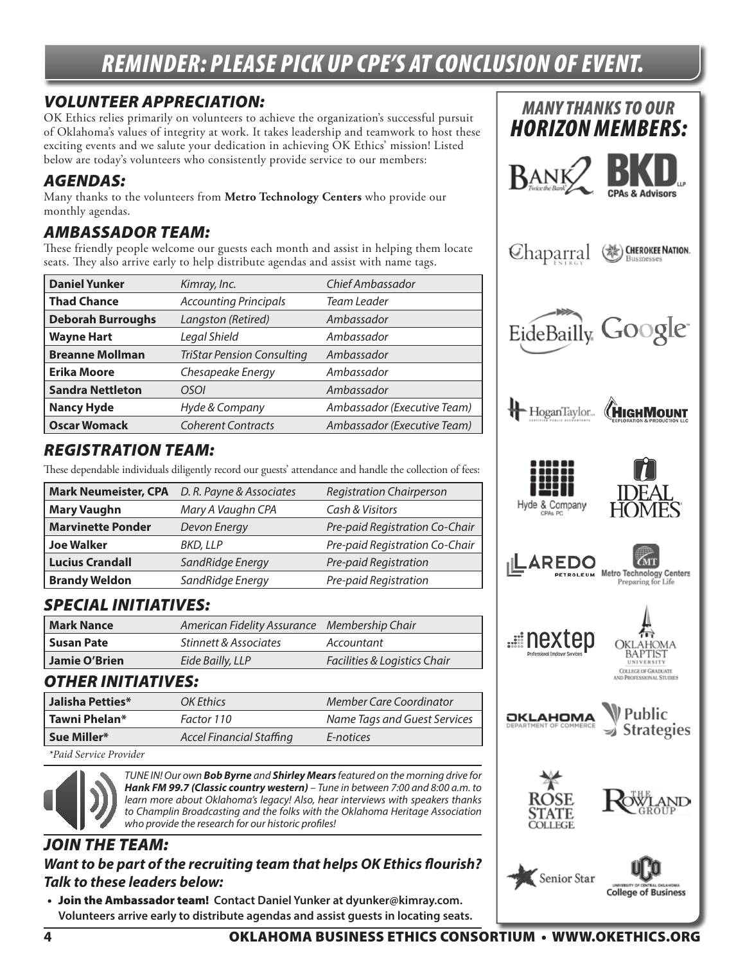### *REMINDER: PLEASE PICK UP CPE'S AT CONCLUSION OF EVENT.*

#### *VOLUNTEER APPRECIATION:*

OK Ethics relies primarily on volunteers to achieve the organization's successful pursuit of Oklahoma's values of integrity at work. It takes leadership and teamwork to host these exciting events and we salute your dedication in achieving OK Ethics' mission! Listed below are today's volunteers who consistently provide service to our members:

#### *AGENDAS:*

Many thanks to the volunteers from **Metro Technology Centers** who provide our monthly agendas.

#### *AMBASSADOR TEAM:*

These friendly people welcome our guests each month and assist in helping them locate seats. They also arrive early to help distribute agendas and assist with name tags.

| <b>Daniel Yunker</b>     | Kimray, Inc.                      | Chief Ambassador            |
|--------------------------|-----------------------------------|-----------------------------|
| <b>Thad Chance</b>       | <b>Accounting Principals</b>      | Team Leader                 |
| <b>Deborah Burroughs</b> | Langston (Retired)                | Ambassador                  |
| <b>Wayne Hart</b>        | Legal Shield                      | Ambassador                  |
| <b>Breanne Mollman</b>   | <b>TriStar Pension Consulting</b> | Ambassador                  |
| <b>Erika Moore</b>       | Chesapeake Energy                 | Ambassador                  |
| <b>Sandra Nettleton</b>  | OSOI                              | Ambassador                  |
| <b>Nancy Hyde</b>        | Hyde & Company                    | Ambassador (Executive Team) |
| <b>Oscar Womack</b>      | <b>Coherent Contracts</b>         | Ambassador (Executive Team) |

#### *REGISTRATION TEAM:*

These dependable individuals diligently record our guests' attendance and handle the collection of fees:

| <b>Mark Neumeister, CPA</b> | D. R. Payne & Associates | <b>Registration Chairperson</b> |
|-----------------------------|--------------------------|---------------------------------|
| <b>Mary Vaughn</b>          | Mary A Vaughn CPA        | Cash & Visitors                 |
| <b>Marvinette Ponder</b>    | Devon Energy             | Pre-paid Registration Co-Chair  |
| <b>Joe Walker</b>           | BKD, LLP                 | Pre-paid Registration Co-Chair  |
| <b>Lucius Crandall</b>      | SandRidge Energy         | Pre-paid Registration           |
| <b>Brandy Weldon</b>        | SandRidge Energy         | Pre-paid Registration           |

#### *SPECIAL INITIATIVES:*

| Mark Nance           | American Fidelity Assurance Membership Chair |                              |
|----------------------|----------------------------------------------|------------------------------|
| l Susan Pate         | Stinnett & Associates                        | Accountant                   |
| <b>Jamie O'Brien</b> | Eide Bailly, LLP                             | Facilities & Logistics Chair |

#### *OTHER INITIATIVES:*

| Jalisha Petties* | OK Ethics                | Member Care Coordinator      |
|------------------|--------------------------|------------------------------|
| l Tawni Phelan*  | Factor 110               | Name Tags and Guest Services |
| Sue Miller*      | Accel Financial Staffing | E-notices                    |

 *\*Paid Service Provider*



*TUNE IN! Our own Bob Byrne and Shirley Mears featured on the morning drive for Hank FM 99.7 (Classic country western) – Tune in between 7:00 and 8:00 a.m. to learn more about Oklahoma's legacy! Also, hear interviews with speakers thanks to Champlin Broadcasting and the folks with the Oklahoma Heritage Association who provide the research for our historic profiles!*

#### *JOIN THE TEAM: Want to be part of the recruiting team that helps OK Ethics flourish? Talk to these leaders below:*

• Join the Ambassador team! **Contact Daniel Yunker at dyunker@kimray.com. Volunteers arrive early to distribute agendas and assist guests in locating seats.**

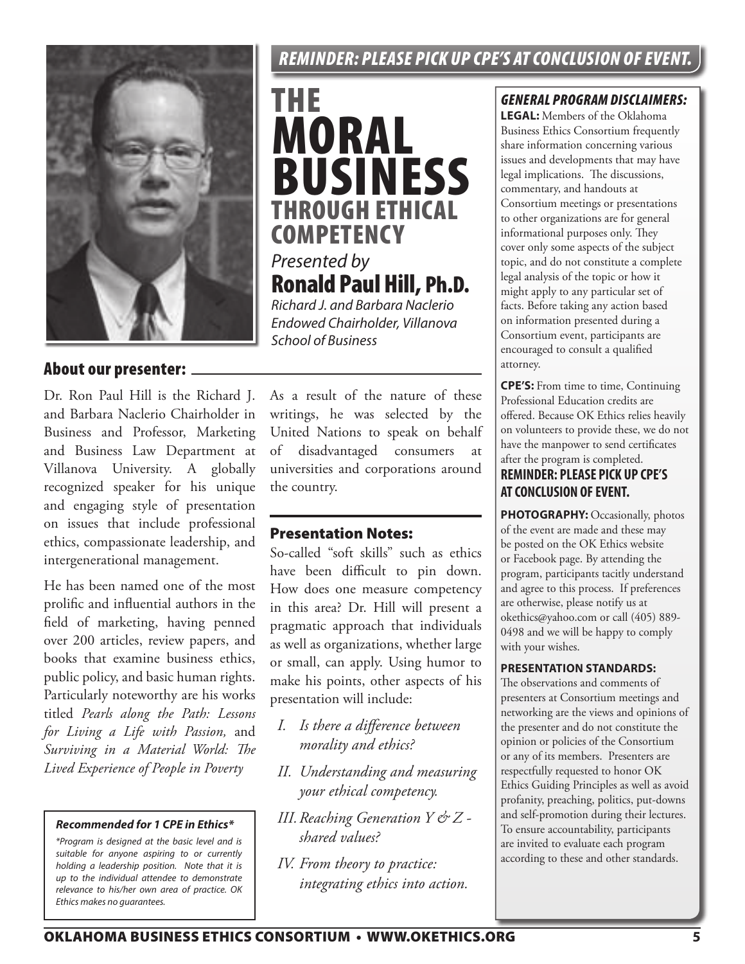#### About our presenter:

Dr. Ron Paul Hill is the Richard J. and Barbara Naclerio Chairholder in Business and Professor, Marketing and Business Law Department at Villanova University. A globally recognized speaker for his unique and engaging style of presentation on issues that include professional ethics, compassionate leadership, and intergenerational management.

He has been named one of the most prolific and influential authors in the field of marketing, having penned over 200 articles, review papers, and books that examine business ethics, public policy, and basic human rights. Particularly noteworthy are his works titled *Pearls along the Path: Lessons for Living a Life with Passion,* and *Surviving in a Material World: The Lived Experience of People in Poverty*

#### *Recommended for 1 CPE in Ethics\**

 *\*Program is designed at the basic level and is suitable for anyone aspiring to or currently holding a leadership position. Note that it is up to the individual attendee to demonstrate relevance to his/her own area of practice. OK Ethics makes no guarantees.*

#### *REMINDER: PLEASE PICK UP CPE'S AT CONCLUSION OF EVENT.*

THE MORAL BUSINESS THROUGH ETHICAL **COMPETENCY** *Presented by* Ronald Paul Hill, Ph.D. *Richard J. and Barbara Naclerio Endowed Chairholder, Villanova* 

As a result of the nature of these writings, he was selected by the United Nations to speak on behalf of disadvantaged consumers at universities and corporations around the country.

#### Presentation Notes:

*School of Business*

So-called "soft skills" such as ethics have been difficult to pin down. How does one measure competency in this area? Dr. Hill will present a pragmatic approach that individuals as well as organizations, whether large or small, can apply. Using humor to make his points, other aspects of his presentation will include:

- *I. Is there a difference between morality and ethics?*
- *II. Understanding and measuring your ethical competency.*
- *III.Reaching Generation Y & Z shared values?*
- *IV. From theory to practice: integrating ethics into action.*

#### *GENERAL PROGRAM DISCLAIMERS:*

**LEGAL:** Members of the Oklahoma Business Ethics Consortium frequently share information concerning various issues and developments that may have legal implications. The discussions, commentary, and handouts at Consortium meetings or presentations to other organizations are for general informational purposes only. They cover only some aspects of the subject topic, and do not constitute a complete legal analysis of the topic or how it might apply to any particular set of facts. Before taking any action based on information presented during a Consortium event, participants are encouraged to consult a qualified attorney.

**CPE'S:** From time to time, Continuing Professional Education credits are offered. Because OK Ethics relies heavily on volunteers to provide these, we do not have the manpower to send certificates after the program is completed.

#### **REMINDER: PLEASE PICK UP CPE'S AT CONCLUSION OF EVENT.**

PHOTOGRAPHY: Occasionally, photos of the event are made and these may be posted on the OK Ethics website or Facebook page. By attending the program, participants tacitly understand and agree to this process. If preferences are otherwise, please notify us at okethics@yahoo.com or call (405) 889- 0498 and we will be happy to comply with your wishes.

#### **PRESENTATION STANDARDS:**

The observations and comments of presenters at Consortium meetings and networking are the views and opinions of the presenter and do not constitute the opinion or policies of the Consortium or any of its members. Presenters are respectfully requested to honor OK Ethics Guiding Principles as well as avoid profanity, preaching, politics, put-downs and self-promotion during their lectures. To ensure accountability, participants are invited to evaluate each program according to these and other standards.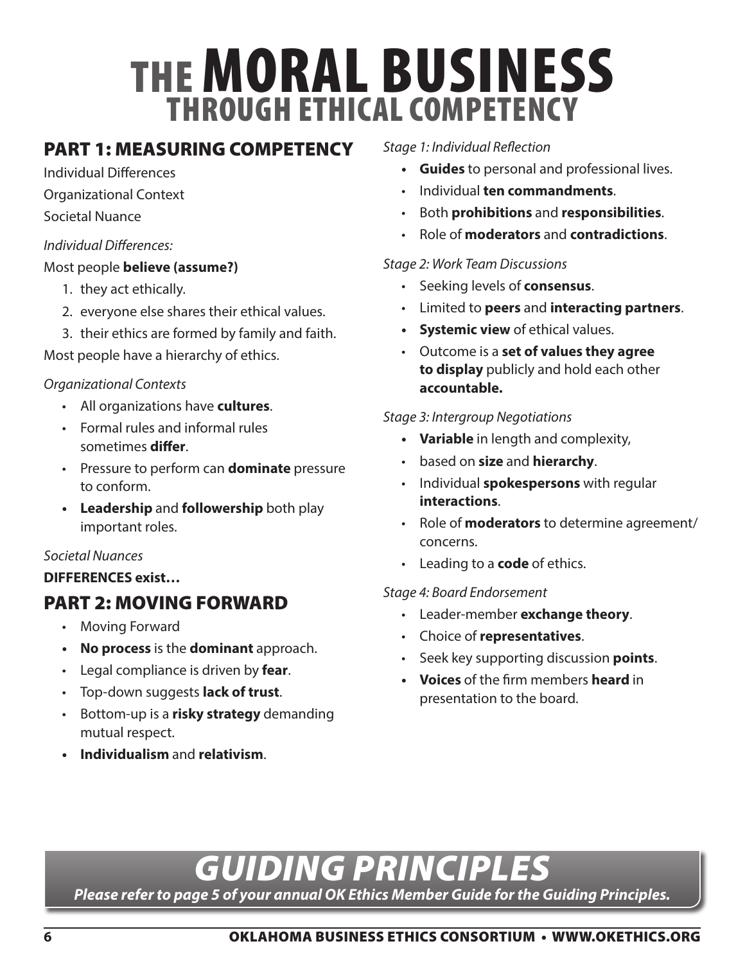## THE MORAL BUSINESS THROUGH ETHICAL COMPETENCY

#### PART 1: MEASURING COMPETENCY

Individual Differences

- Organizational Context
- Societal Nuance

#### *Individual Differences:*

#### Most people **believe (assume?)**

- 1. they act ethically.
- 2. everyone else shares their ethical values.
- 3. their ethics are formed by family and faith.

Most people have a hierarchy of ethics.

#### *Organizational Contexts*

- All organizations have **cultures**.
- Formal rules and informal rules sometimes **differ**.
- Pressure to perform can **dominate** pressure to conform.
- **• Leadership** and **followership** both play important roles.

#### *Societal Nuances*

**DIFFERENCES exist…**

### PART 2: MOVING FORWARD

- Moving Forward
- **• No process** is the **dominant** approach.
- Legal compliance is driven by **fear**.
- Top-down suggests **lack of trust**.
- Bottom-up is a **risky strategy** demanding mutual respect.
- **• Individualism** and **relativism**.

#### *Stage 1: Individual Reflection*

- **• Guides** to personal and professional lives.
- Individual **ten commandments**.
- Both **prohibitions** and **responsibilities**.
- Role of **moderators** and **contradictions**.

#### *Stage 2: Work Team Discussions*

- Seeking levels of **consensus**.
- Limited to **peers** and **interacting partners**.
- **• Systemic view** of ethical values.
- Outcome is a **set of values they agree to display** publicly and hold each other **accountable.**

#### *Stage 3: Intergroup Negotiations*

- **• Variable** in length and complexity,
- based on **size** and **hierarchy**.
- Individual **spokespersons** with regular **interactions**.
- Role of **moderators** to determine agreement/ concerns.
- Leading to a **code** of ethics.

#### *Stage 4: Board Endorsement*

- Leader-member **exchange theory**.
- Choice of **representatives**.
- Seek key supporting discussion **points**.
- **• Voices** of the firm members **heard** in presentation to the board.

## **6** OKLAHOMA BUSINESS ETHICS CONSORTIUM • WWW.OKETHICS.ORG

*GUIDING PRINCIPLES*

*Please refer to page 5 of your annual OK Ethics Member Guide for the Guiding Principles.*